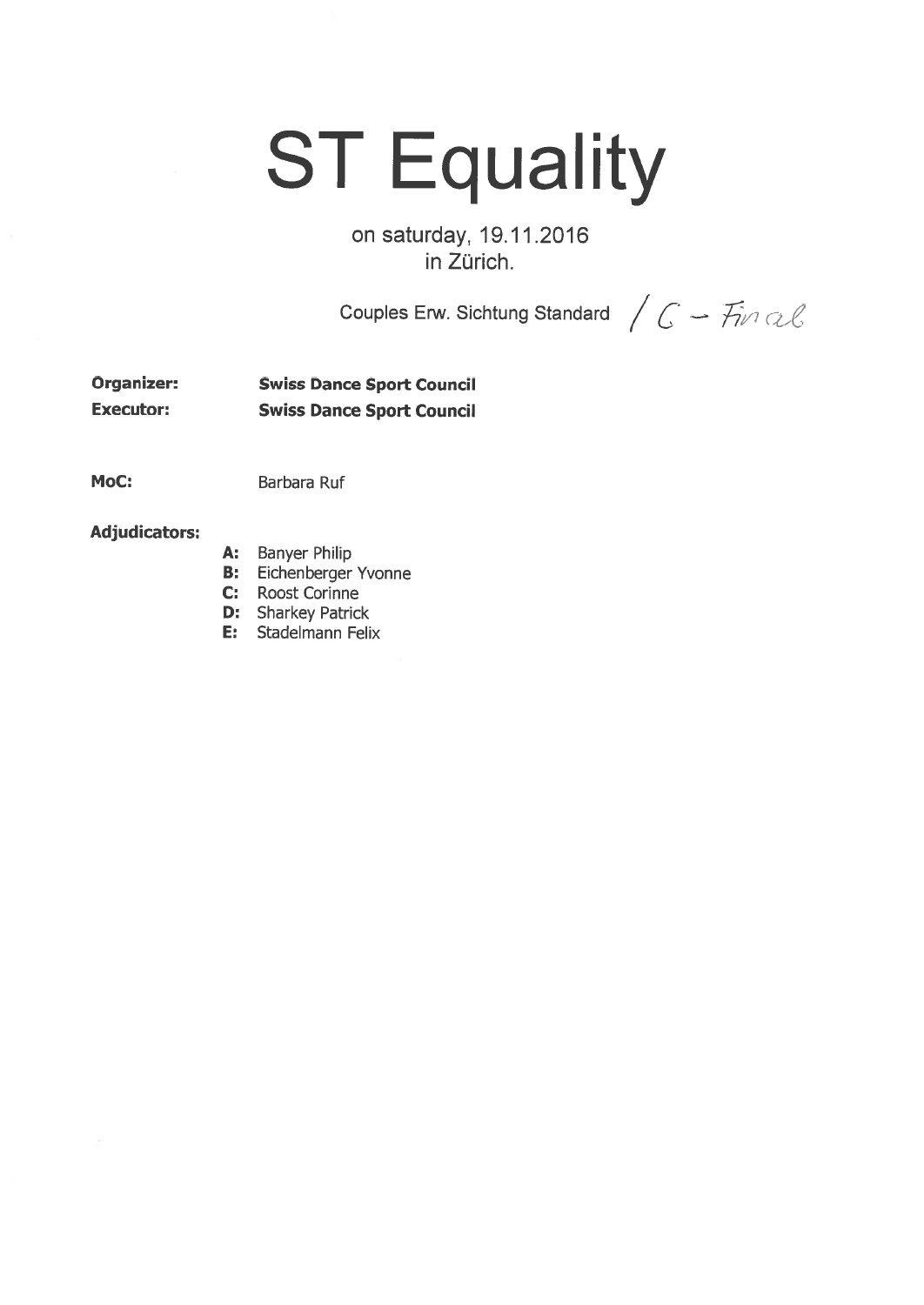## **ST Equality**

on saturday, 19.11.2016 in Zürich.

Couples Erw. Sichtung Standard  $\bigg/ \int G \rightarrow \overline{f}$ in Q $\ell$ 

Organizer: Swiss Dance Sport Council Executor: Swiss Dance Sport Council

MoC: Barbara Ruf

## Adjudicators:

- A: Banyer Philip
- B: Eichenberger Yvonne
- C: Roost Corinne
- **D:** Sharkey Patrick
- E: Stadelmann Felix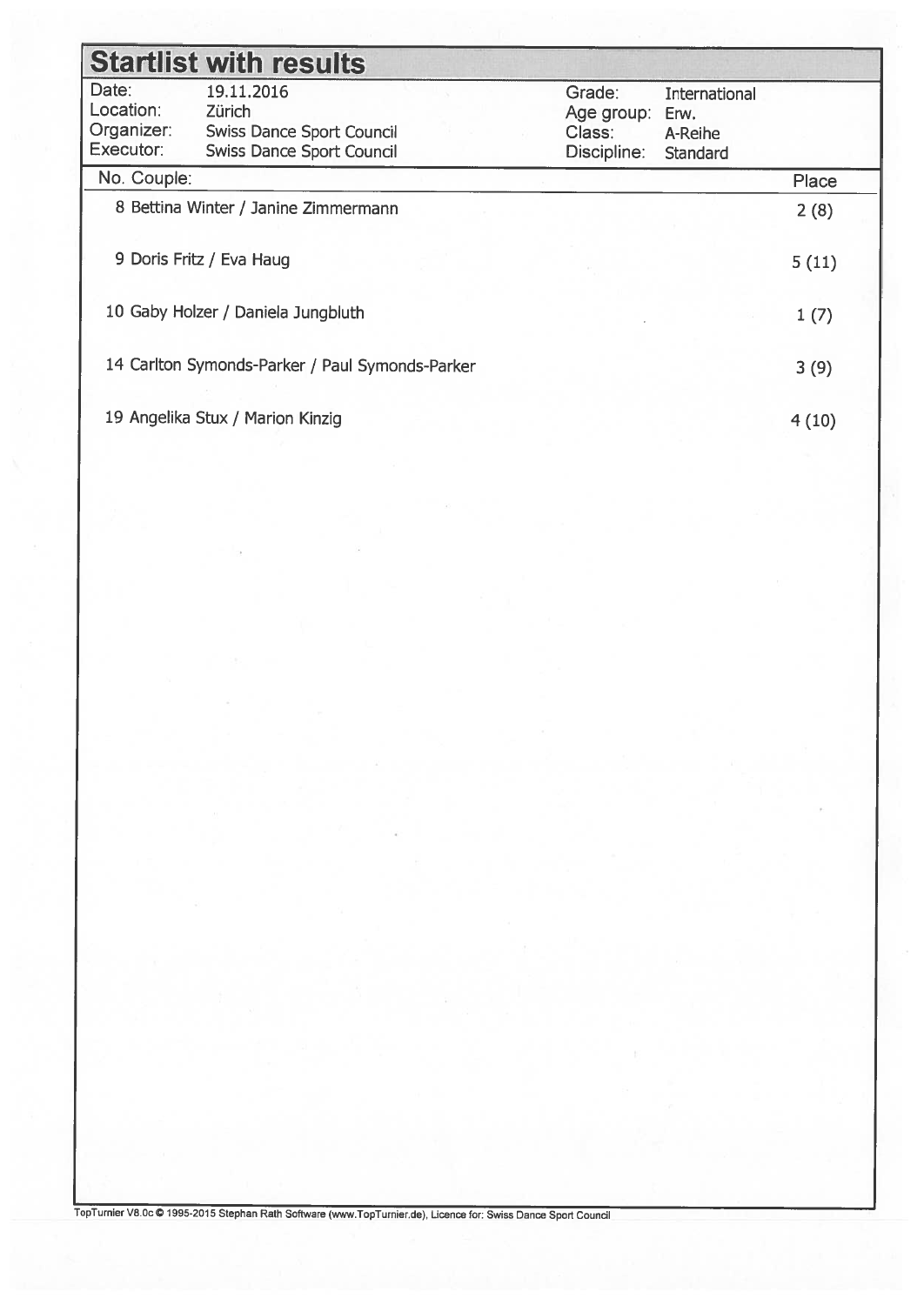| <b>Startlist with results</b>                 |                                                                                                     |                                               |                                                     |       |  |
|-----------------------------------------------|-----------------------------------------------------------------------------------------------------|-----------------------------------------------|-----------------------------------------------------|-------|--|
| Date:<br>Location:<br>Organizer:<br>Executor: | 19.11.2016<br><b>Zürich</b><br><b>Swiss Dance Sport Council</b><br><b>Swiss Dance Sport Council</b> | Grade:<br>Age group:<br>Class:<br>Discipline: | <b>International</b><br>Erw.<br>A-Reihe<br>Standard |       |  |
| No. Couple:                                   |                                                                                                     |                                               |                                                     | Place |  |
|                                               | 8 Bettina Winter / Janine Zimmermann                                                                |                                               |                                                     | 2(8)  |  |
|                                               | 9 Doris Fritz / Eva Haug                                                                            |                                               |                                                     | 5(11) |  |
|                                               | 10 Gaby Holzer / Daniela Jungbluth                                                                  |                                               |                                                     | 1(7)  |  |
|                                               | 14 Carlton Symonds-Parker / Paul Symonds-Parker                                                     |                                               |                                                     | 3(9)  |  |
| 19 Angelika Stux / Marion Kinzig              |                                                                                                     |                                               | 4(10)                                               |       |  |